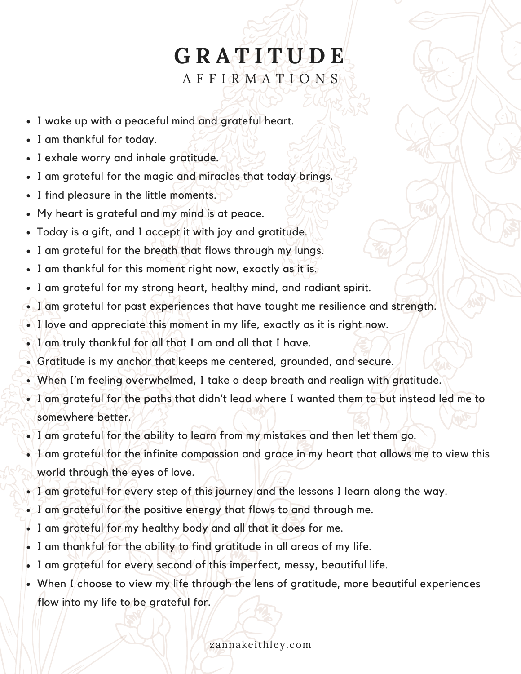## **G R A T I T U D E** A F F I R M A T I O N S

- I wake up with a peaceful mind and grateful heart.
- I am thankful for today.
- I exhale worry and inhale gratitude.
- I am grateful for the magic and miracles that today brings.
- I find pleasure in the little moments.
- My heart is grateful and my mind is at peace.
- Today is a gift, and I accept it with joy and gratitude.
- I am grateful for the breath that flows through my lungs.
- I am thankful for this moment right now, exactly as it is.
- I am grateful for my strong heart, healthy mind, and radiant spirit.
- I am grateful for past experiences that have taught me resilience and strength.
- I love and appreciate this moment in my life, exactly as it is right now.
- I am truly thankful for all that I am and all that I have.
- Gratitude is my anchor that keeps me centered, grounded, and secure.
- When I'm feeling overwhelmed, I take a deep breath and realign with gratitude.
- I am grateful for the paths that didn't lead where I wanted them to but instead led me to somewhere better.
- I am grateful for the ability to learn from my mistakes and then let them go.
- I am grateful for the infinite compassion and grace in my heart that allows me to view this world through the eyes of love.
- I am grateful for every step of this journey and the lessons I learn along the way.
- I am grateful for the positive energy that flows to and through me.
- I am grateful for my healthy body and all that it does for me.
- I am thankful for the ability to find gratitude in all areas of my life.
- I am grateful for every second of this imperfect, messy, beautiful life.
- $\bullet$  When I/choose to view my life through the lens of gratitude, more beautiful experiences flow into my life to be grateful for.

zannakeithley.com